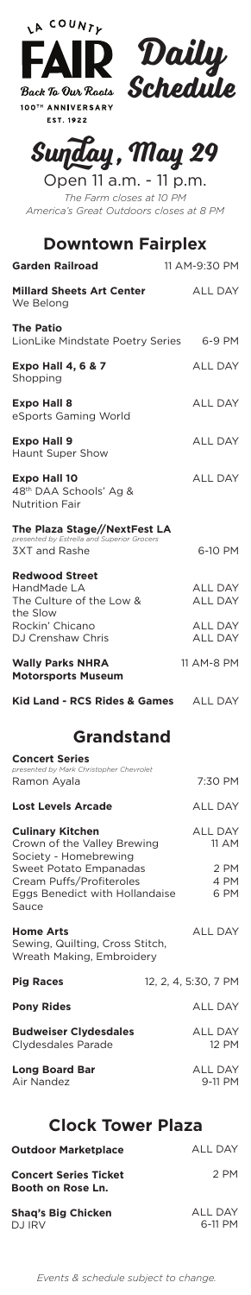| LA COUNTE                                                                                          |                                  |  |
|----------------------------------------------------------------------------------------------------|----------------------------------|--|
| FAIR-                                                                                              |                                  |  |
| Daily<br>Schedule<br>Back To Our Roots                                                             |                                  |  |
| 100TH ANNIVERSARY<br>EST. 1922                                                                     |                                  |  |
| Sunday, May 29                                                                                     |                                  |  |
| Open 11 a.m. - 11 p.m.<br>The Farm closes at 10 PM                                                 |                                  |  |
| America's Great Outdoors closes at 8 PM                                                            |                                  |  |
| <b>Downtown Fairplex</b>                                                                           |                                  |  |
| <b>Garden Railroad</b><br><b>Millard Sheets Art Center</b>                                         | 11 AM-9:30 PM                    |  |
| We Belong                                                                                          | ALL DAY                          |  |
| <b>The Patio</b><br>LionLike Mindstate Poetry Series                                               | 6-9 PM                           |  |
| <b>Expo Hall 4, 6 &amp; 7</b><br>Shopping                                                          | <b>ALL DAY</b>                   |  |
| <b>Expo Hall 8</b><br>eSports Gaming World                                                         | <b>ALL DAY</b>                   |  |
| <b>Expo Hall 9</b><br>Haunt Super Show                                                             | <b>ALL DAY</b>                   |  |
| <b>Expo Hall 10</b><br>48 <sup>th</sup> DAA Schools' Ag &<br><b>Nutrition Fair</b>                 | <b>ALL DAY</b>                   |  |
| The Plaza Stage//NextFest LA<br>presented by Estrella and Superior Grocers<br><b>3XT and Rashe</b> | 6-10 PM                          |  |
| <b>Redwood Street</b><br>HandMade LA<br>The Culture of the Low &<br>the Slow                       | ALL DAY<br>ALL DAY               |  |
| Rockin' Chicano<br>DJ Crenshaw Chris                                                               | <b>ALL DAY</b><br><b>ALL DAY</b> |  |
| <b>Wally Parks NHRA</b><br><b>Motorsports Museum</b>                                               | 11 AM-8 PM                       |  |
| Kid Land - RCS Rides & Games                                                                       | ALL DAY                          |  |
| <b>Grandstand</b>                                                                                  |                                  |  |
| <b>Concert Series</b><br>presented by Mark Christopher Chevrolet                                   |                                  |  |
| Ramon Ayala                                                                                        | 7:30 PM                          |  |
| <b>Lost Levels Arcade</b>                                                                          | <b>ALL DAY</b>                   |  |
| <b>Culinary Kitchen</b><br>Crown of the Valley Brewing<br>Society - Homebrewing                    | ALL DAY<br>11 AM                 |  |
| Sweet Potato Empanadas<br>Cream Puffs/Profiteroles<br>Eggs Benedict with Hollandaise<br>Sauce      | 2 PM<br>4 PM<br>6 PM             |  |
| <b>Home Arts</b><br>Sewing, Quilting, Cross Stitch,<br>Wreath Making, Embroidery                   | ALL DAY                          |  |
| <b>Pig Races</b>                                                                                   | 12, 2, 4, 5:30, 7 PM             |  |
| <b>Pony Rides</b>                                                                                  | <b>ALL DAY</b>                   |  |
| <b>Budweiser Clydesdales</b><br>Clydesdales Parade                                                 | <b>ALL DAY</b><br>12 PM          |  |
| <b>Long Board Bar</b><br>Air Nandez                                                                | ALL DAY<br>9-11 PM               |  |
| <b>Clock Tower Plaza</b>                                                                           |                                  |  |
| <b>Outdoor Marketplace</b>                                                                         | ALL DAY                          |  |
| <b>Concert Series Ticket</b>                                                                       | 2 PM                             |  |

**Concert Series Ticket Booth on Rose Ln.**

**Shaq's Big Chicken** DJ IRV

ALL DAY 6-11 PM